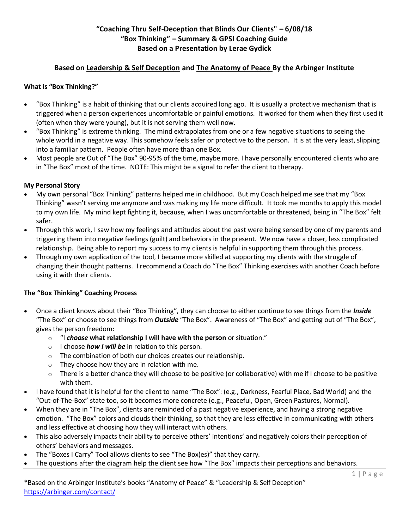# **"Coaching Thru Self-Deception that Blinds Our Clients" – 6/08/18 "Box Thinking" – Summary & GPSI Coaching Guide Based on a Presentation by Lerae Gydick**

## **Based on Leadership & Self Deception and The Anatomy of Peace By the Arbinger Institute**

### **What is "Box Thinking?"**

- "Box Thinking" is a habit of thinking that our clients acquired long ago. It is usually a protective mechanism that is triggered when a person experiences uncomfortable or painful emotions. It worked for them when they first used it (often when they were young), but it is not serving them well now.
- "Box Thinking" is extreme thinking. The mind extrapolates from one or a few negative situations to seeing the whole world in a negative way. This somehow feels safer or protective to the person. It is at the very least, slipping into a familiar pattern. People often have more than one Box.
- Most people are Out of "The Box" 90-95% of the time, maybe more. I have personally encountered clients who are in "The Box" most of the time. NOTE: This might be a signal to refer the client to therapy.

#### **My Personal Story**

- My own personal "Box Thinking" patterns helped me in childhood. But my Coach helped me see that my "Box Thinking" wasn't serving me anymore and was making my life more difficult. It took me months to apply this model to my own life. My mind kept fighting it, because, when I was uncomfortable or threatened, being in "The Box" felt safer.
- Through this work, I saw how my feelings and attitudes about the past were being sensed by one of my parents and triggering them into negative feelings (guilt) and behaviors in the present. We now have a closer, less complicated relationship. Being able to report my success to my clients is helpful in supporting them through this process.
- Through my own application of the tool, I became more skilled at supporting my clients with the struggle of changing their thought patterns. I recommend a Coach do "The Box" Thinking exercises with another Coach before using it with their clients.

### **The "Box Thinking" Coaching Process**

- Once a client knows about their "Box Thinking", they can choose to either continue to see things from the *Inside* "The Box" or choose to see things from *Outside* "The Box". Awareness of "The Box" and getting out of "The Box", gives the person freedom:
	- o "I *choose* **what relationship I will have with the person** or situation."
	- o I choose *how I will be* in relation to this person.
	- o The combination of both our choices creates our relationship.
	- $\circ$  They choose how they are in relation with me.
	- o There is a better chance they will choose to be positive (or collaborative) with me if I choose to be positive with them.
- I have found that it is helpful for the client to name "The Box": (e.g., Darkness, Fearful Place, Bad World) and the "Out-of-The-Box" state too, so it becomes more concrete (e.g., Peaceful, Open, Green Pastures, Normal).
- When they are in "The Box", clients are reminded of a past negative experience, and having a strong negative emotion. "The Box" colors and clouds their thinking, so that they are less effective in communicating with others and less effective at choosing how they will interact with others.
- This also adversely impacts their ability to perceive others' intentions' and negatively colors their perception of others' behaviors and messages.
- The "Boxes I Carry" Tool allows clients to see "The Box(es)" that they carry.
- The questions after the diagram help the client see how "The Box" impacts their perceptions and behaviors.

\*Based on the Arbinger Institute's books "Anatomy of Peace" & "Leadership & Self Deception" <https://arbinger.com/contact/>